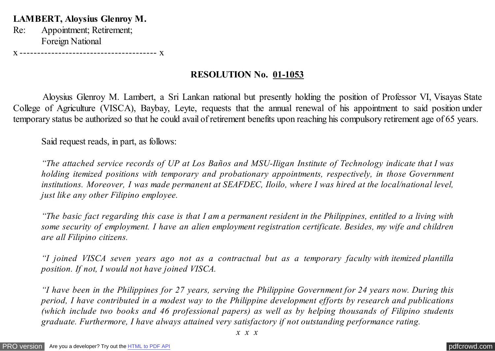**LAMBERT, Aloysius Glenroy M.**

Re: Appointment; Retirement; Foreign National

x --------------------------------------- x

## **RESOLUTION No. 01-1053**

 Aloysius Glenroy M. Lambert, a Sri Lankan national but presently holding the position of Professor VI, Visayas State College of Agriculture (VISCA), Baybay, Leyte, requests that the annual renewal of his appointment to said position under temporary status be authorized so that he could avail of retirement benefits upon reaching his compulsory retirement age of 65 years.

Said request reads, in part, as follows:

*"The attached service records of UP at Los Baños and MSU-Iligan Institute of Technology indicate that I was holding itemized positions with temporary and probationary appointments, respectively, in those Government institutions. Moreover, I was made permanent at SEAFDEC, Iloilo, where I was hired at the local/national level, just like any other Filipino employee.*

*"The basic fact regarding this case is that I am a permanent resident in the Philippines, entitled to a living with some security of employment. I have an alien employment registration certificate. Besides, my wife and children are all Filipino citizens.*

*"I joined VISCA seven years ago not as a contractual but as a temporary faculty with itemized plantilla position. If not, I would not have joined VISCA.*

*"I have been in the Philippines for 27 years, serving the Philippine Government for 24 years now. During this period, I have contributed in a modest way to the Philippine development efforts by research and publications (which include two books and 46 professional papers) as well as by helping thousands of Filipino students graduate. Furthermore, I have always attained very satisfactory if not outstanding performance rating.*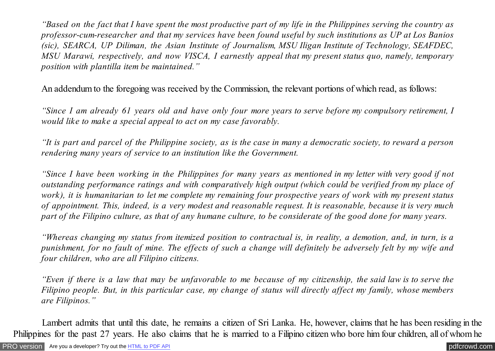*"Based on the fact that I have spent the most productive part of my life in the Philippines serving the country as professor-cum-researcher and that my services have been found useful by such institutions as UP at Los Banios (sic), SEARCA, UP Diliman, the Asian Institute of Journalism, MSU Iligan Institute of Technology, SEAFDEC, MSU Marawi, respectively, and now VISCA, I earnestly appeal that my present status quo, namely, temporary position with plantilla item be maintained."*

An addendum to the foregoing was received by the Commission, the relevant portions of which read, as follows:

*"Since I am already 61 years old and have only four more years to serve before my compulsory retirement, I would like to make a special appeal to act on my case favorably.*

*"It is part and parcel of the Philippine society, as is the case in many a democratic society, to reward a person rendering many years of service to an institution like the Government.*

*"Since I have been working in the Philippines for many years as mentioned in my letter with very good if not outstanding performance ratings and with comparatively high output (which could be verified from my place of work), it is humanitarian to let me complete my remaining four prospective years of work with my present status of appointment. This, indeed, is a very modest and reasonable request. It is reasonable, because it is very much part of the Filipino culture, as that of any humane culture, to be considerate of the good done for many years.*

*"Whereas changing my status from itemized position to contractual is, in reality, a demotion, and, in turn, is a punishment, for no fault of mine. The effects of such a change will definitely be adversely felt by my wife and four children, who are all Filipino citizens.*

*"Even if there is a law that may be unfavorable to me because of my citizenship, the said law is to serve the Filipino people. But, in this particular case, my change of status will directly affect my family, whose members are Filipinos."*

 Lambert admits that until this date, he remains a citizen of Sri Lanka. He, however, claims that he has been residing in the Philippines for the past 27 years. He also claims that he is married to a Filipino citizen who bore him four children, all of whom he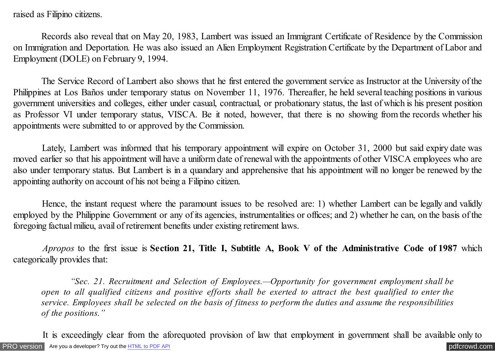raised as Filipino citizens.

 Records also reveal that on May 20, 1983, Lambert was issued an Immigrant Certificate of Residence by the Commission on Immigration and Deportation. He was also issued an Alien Employment Registration Certificate by the Department of Labor and Employment (DOLE) on February 9, 1994.

 The Service Record of Lambert also shows that he first entered the government service as Instructor at the University of the Philippines at Los Baños under temporary status on November 11, 1976. Thereafter, he held several teaching positions in various government universities and colleges, either under casual, contractual, or probationary status, the last of which is his present position as Professor VI under temporary status, VISCA. Be it noted, however, that there is no showing from the records whether his appointments were submitted to or approved by the Commission.

 Lately, Lambert was informed that his temporary appointment will expire on October 31, 2000 but said expiry date was moved earlier so that his appointment will have a uniform date of renewal with the appointments of other VISCA employees who are also under temporary status. But Lambert is in a quandary and apprehensive that his appointment will no longer be renewed by the appointing authority on account of his not being a Filipino citizen.

 Hence, the instant request where the paramount issues to be resolved are: 1) whether Lambert can be legally and validly employed by the Philippine Government or any of its agencies, instrumentalities or offices; and 2) whether he can, on the basis of the foregoing factual milieu, avail of retirement benefits under existing retirement laws.

 *Apropos* to the first issue is **Section 21, Title I, Subtitle A, Book V of the Administrative Code of 1987** which categorically provides that:

 *"Sec. 21. Recruitment and Selection of Employees.—Opportunity for government employment shall be open to all qualified citizens and positive efforts shall be exerted to attract the best qualified to enter the service. Employees shall be selected on the basis of fitness to perform the duties and assume the responsibilities of the positions."*

[PRO version](http://pdfcrowd.com/customize/) Are you a developer? Try out th[e HTML to PDF API](http://pdfcrowd.com/html-to-pdf-api/?ref=pdf) [pdfcrowd.com](http://pdfcrowd.com) It is exceedingly clear from the aforequoted provision of law that employment in government shall be available only to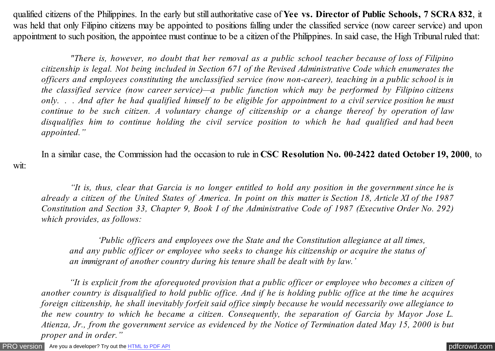qualified citizens of the Philippines. In the early but still authoritative case of **Yee vs. Director of Public Schools, 7 SCRA 832**, it was held that only Filipino citizens may be appointed to positions falling under the classified service (now career service) and upon appointment to such position, the appointee must continue to be a citizen of the Philippines. In said case, the High Tribunal ruled that:

 *"There is, however, no doubt that her removal as a public school teacher because of loss of Filipino citizenship is legal. Not being included in Section 671 of the Revised Administrative Code which enumerates the officers and employees constituting the unclassified service (now non-career), teaching in a public school is in the classified service (now career service)—a public function which may be performed by Filipino citizens only. . . And after he had qualified himself to be eligible for appointment to a civil service position he must continue to be such citizen. A voluntary change of citizenship or a change thereof by operation of law disqualifies him to continue holding the civil service position to which he had qualified and had been appointed."*

In a similar case, the Commission had the occasion to rule in **CSC Resolution No. 00-2422 dated October 19, 2000**, to

 *"It is, thus, clear that Garcia is no longer entitled to hold any position in the government since he is already a citizen of the United States of America. In point on this matter is Section 18, Article XI of the 1987 Constitution and Section 33, Chapter 9, Book I of the Administrative Code of 1987 (Executive Order No. 292) which provides, as follows:*

 *'Public officers and employees owe the State and the Constitution allegiance at all times, and any public officer or employee who seeks to change his citizenship or acquire the status of an immigrant of another country during his tenure shall be dealt with by law.'*

 *"It is explicit from the aforequoted provision that a public officer or employee who becomes a citizen of another country is disqualified to hold public office. And if he is holding public office at the time he acquires foreign citizenship, he shall inevitably forfeit said office simply because he would necessarily owe allegiance to the new country to which he became a citizen. Consequently, the separation of Garcia by Mayor Jose L. Atienza, Jr., from the government service as evidenced by the Notice of Termination dated May 15, 2000 is but proper and in order."*

[PRO version](http://pdfcrowd.com/customize/) Are you a developer? Try out th[e HTML to PDF API](http://pdfcrowd.com/html-to-pdf-api/?ref=pdf) [pdfcrowd.com](http://pdfcrowd.com)

wit: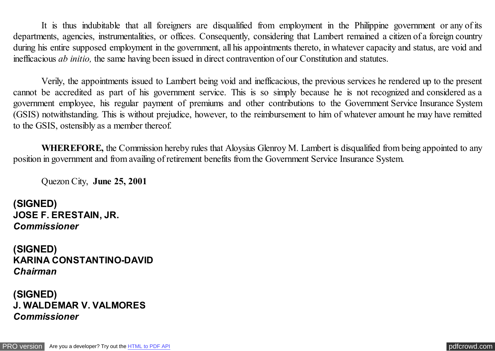It is thus indubitable that all foreigners are disqualified from employment in the Philippine government or any of its departments, agencies, instrumentalities, or offices. Consequently, considering that Lambert remained a citizen of a foreign country during his entire supposed employment in the government, all his appointments thereto, in whatever capacity and status, are void and inefficacious *ab initio,* the same having been issued in direct contravention of our Constitution and statutes.

Verily, the appointments issued to Lambert being void and inefficacious, the previous services he rendered up to the present cannot be accredited as part of his government service. This is so simply because he is not recognized and considered as a government employee, his regular payment of premiums and other contributions to the Government Service Insurance System (GSIS) notwithstanding. This is without prejudice, however, to the reimbursement to him of whatever amount he may have remitted to the GSIS, ostensibly as a member thereof.

**WHEREFORE, the Commission hereby rules that Aloysius Glenroy M. Lambert is disqualified from being appointed to any** position in government and from availing of retirement benefits from the Government Service Insurance System.

Quezon City, **June 25, 2001**

**(SIGNED) JOSE F. ERESTAIN, JR.** *Commissioner*

**(SIGNED) KARINA CONSTANTINO-DAVID** *Chairman*

**(SIGNED) J. WALDEMAR V. VALMORES** *Commissioner*